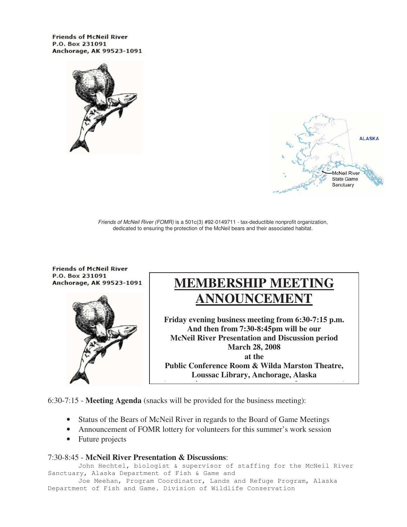**Friends of McNeil River** P.O. Box 231091 Anchorage, AK 99523-1091





Friends of McNeil River (FOMR) is a 501c(3) #92-0149711 - tax-deductible nonprofit organization, dedicated to ensuring the protection of the McNeil bears and their associated habitat.

**Friends of McNeil River** P.O. Box 231091 Anchorage, AK 99523-1091



# **MEMBERSHIP MEETING ANNOUNCEMENT**

**Friday evening business meeting from 6:30-7:15 p.m. And then from 7:30-8:45pm will be our McNeil River Presentation and Discussion period March 28, 2008 at the Public Conference Room & Wilda Marston Theatre, Loussac Library, Anchorage, Alaska** 

**(i f )**

6:30-7:15 - **Meeting Agenda** (snacks will be provided for the business meeting):

j

- Status of the Bears of McNeil River in regards to the Board of Game Meetings
- Announcement of FOMR lottery for volunteers for this summer's work session
- Future projects

#### 7:30-8:45 - **McNeil River Presentation & Discussions**:

 John Hechtel, biologist & supervisor of staffing for the McNeil River Sanctuary, Alaska Department of Fish & Game and

 Joe Meehan, Program Coordinator, Lands and Refuge Program, Alaska Department of Fish and Game. Division of Wildlife Conservation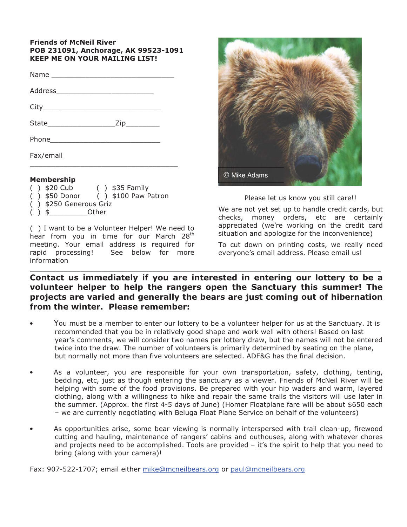#### **Friends of McNeil River** POB 231091, Anchorage, AK 99523-1091 **KEEP ME ON YOUR MAILING LIST!**

| Fax/email |  |
|-----------|--|

#### **Membership**

- $( )$  \$20 Cub  $( )$  \$35 Family
- $( )$  \$100 Paw Patron  $( )$  \$50 Donor
- () \$250 Generous Griz
- $( )$  \$ Other

() I want to be a Volunteer Helper! We need to hear from you in time for our March 28<sup>th</sup> meeting. Your email address is required for rapid processing! See below for more information



#### Please let us know you still care!!

We are not yet set up to handle credit cards, but checks, money orders, etc are certainly appreciated (we're working on the credit card situation and apologize for the inconvenience)

To cut down on printing costs, we really need everyone's email address. Please email us!

### Contact us immediately if you are interested in entering our lottery to be a volunteer helper to help the rangers open the Sanctuary this summer! The projects are varied and generally the bears are just coming out of hibernation from the winter. Please remember:

- You must be a member to enter our lottery to be a volunteer helper for us at the Sanctuary. It is recommended that you be in relatively good shape and work well with others! Based on last year's comments, we will consider two names per lottery draw, but the names will not be entered twice into the draw. The number of volunteers is primarily determined by seating on the plane, but normally not more than five volunteers are selected. ADF&G has the final decision.
- As a volunteer, you are responsible for your own transportation, safety, clothing, tenting, bedding, etc, just as though entering the sanctuary as a viewer. Friends of McNeil River will be helping with some of the food provisions. Be prepared with your hip waders and warm, layered clothing, along with a willingness to hike and repair the same trails the visitors will use later in the summer. (Approx. the first 4-5 days of June) (Homer Floatplane fare will be about \$650 each - we are currently negotiating with Beluga Float Plane Service on behalf of the volunteers)
- As opportunities arise, some bear viewing is normally interspersed with trail clean-up, firewood cutting and hauling, maintenance of rangers' cabins and outhouses, along with whatever chores and projects need to be accomplished. Tools are provided – it's the spirit to help that you need to bring (along with your camera)!

Fax: 907-522-1707; email either mike@mcneilbears.org or paul@mcneilbears.org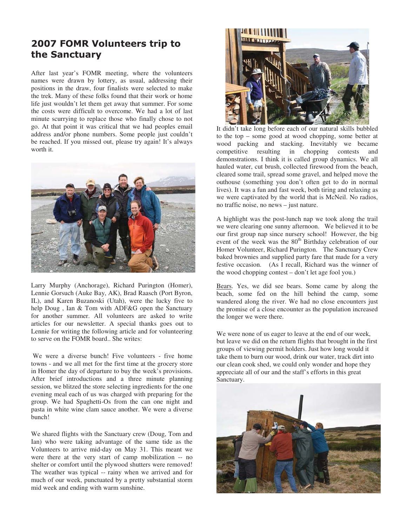### 2007 FOMR Volunteers trip to the Sanctuary

After last year's FOMR meeting, where the volunteers names were drawn by lottery, as usual, addressing their positions in the draw, four finalists were selected to make the trek. Many of these folks found that their work or home life just wouldn't let them get away that summer. For some the costs were difficult to overcome. We had a lot of last minute scurrying to replace those who finally chose to not go. At that point it was critical that we had peoples email address and/or phone numbers. Some people just couldn't be reached. If you missed out, please try again! It's always worth it.



Larry Murphy (Anchorage), Richard Purington (Homer), Lennie Gorsuch (Auke Bay, AK), Brad Raasch (Port Byron, IL), and Karen Buzanoski (Utah), were the lucky five to help Doug , Ian & Tom with ADF&G open the Sanctuary for another summer. All volunteers are asked to write articles for our newsletter. A special thanks goes out to Lennie for writing the following article and for volunteering to serve on the FOMR board.. She writes:

 We were a diverse bunch! Five volunteers - five home towns - and we all met for the first time at the grocery store in Homer the day of departure to buy the week's provisions. After brief introductions and a three minute planning session, we blitzed the store selecting ingredients for the one evening meal each of us was charged with preparing for the group. We had Spaghetti-Os from the can one night and pasta in white wine clam sauce another. We were a diverse bunch!

We shared flights with the Sanctuary crew (Doug, Tom and Ian) who were taking advantage of the same tide as the Volunteers to arrive mid-day on May 31. This meant we were there at the very start of camp mobilization -- no shelter or comfort until the plywood shutters were removed! The weather was typical -- rainy when we arrived and for much of our week, punctuated by a pretty substantial storm mid week and ending with warm sunshine.



It didn't take long before each of our natural skills bubbled to the top – some good at wood chopping, some better at wood packing and stacking. Inevitably we became competitive resulting in chopping contests and demonstrations. I think it is called group dynamics. We all hauled water, cut brush, collected firewood from the beach, cleared some trail, spread some gravel, and helped move the outhouse (something you don't often get to do in normal lives). It was a fun and fast week, both tiring and relaxing as we were captivated by the world that is McNeil. No radios, no traffic noise, no news – just nature.

A highlight was the post-lunch nap we took along the trail we were clearing one sunny afternoon. We believed it to be our first group nap since nursery school! However, the big event of the week was the 80<sup>th</sup> Birthday celebration of our Homer Volunteer, Richard Purington. The Sanctuary Crew baked brownies and supplied party fare that made for a very festive occasion. (As I recall, Richard was the winner of the wood chopping contest – don't let age fool you.)

Bears. Yes, we did see bears. Some came by along the beach, some fed on the hill behind the camp, some wandered along the river. We had no close encounters just the promise of a close encounter as the population increased the longer we were there.

We were none of us eager to leave at the end of our week, but leave we did on the return flights that brought in the first groups of viewing permit holders. Just how long would it take them to burn our wood, drink our water, track dirt into our clean cook shed, we could only wonder and hope they appreciate all of our and the staff's efforts in this great Sanctuary.